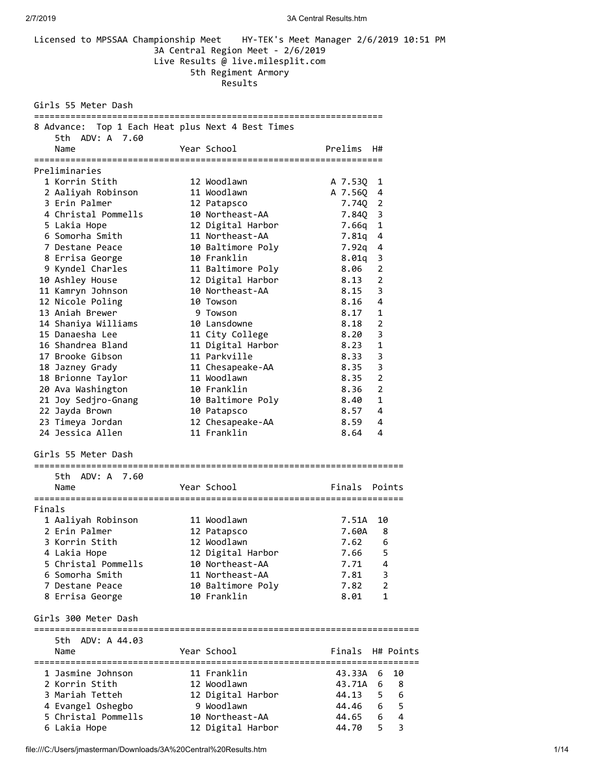|                                                   | 3A Central Region Meet - 2/6/2019<br>Live Results @ live.milesplit.com<br>5th Regiment Armory<br>Results | Licensed to MPSSAA Championship Meet HY-TEK's Meet Manager 2/6/2019 10:51 PM |
|---------------------------------------------------|----------------------------------------------------------------------------------------------------------|------------------------------------------------------------------------------|
| Girls 55 Meter Dash                               |                                                                                                          |                                                                              |
| 8 Advance: Top 1 Each Heat plus Next 4 Best Times |                                                                                                          |                                                                              |
| 5th ADV: A 7.60<br>Name                           | Year School                                                                                              | <b>Example 12</b> Prelims H#                                                 |
|                                                   |                                                                                                          |                                                                              |
| Preliminaries                                     |                                                                                                          |                                                                              |
| 1 Korrin Stith                                    | 12 Woodlawn                                                                                              | A 7.53Q 1                                                                    |
| 2 Aaliyah Robinson                 11 Woodlawn    |                                                                                                          | A 7.560 4                                                                    |
| 3 Erin Palmer                                     | 12 Patapsco                                                                                              | 7.74Q 2                                                                      |
| 4 Christal Pommells 10 Northeast-AA               |                                                                                                          | 7.84Q 3                                                                      |
| 5 Lakia Hope<br>6 Somorha Smith                   | 12 Digital Harbor<br>11 Northeast-AA                                                                     | $\mathbf{1}$<br>7.66q<br>$\overline{4}$<br>7.81q                             |
| 7 Destane Peace                                   | 10 Baltimore Poly                                                                                        | $7.92q$ 4                                                                    |
| 8 Errisa George                                   | 10 Franklin                                                                                              | $8.01q$ 3                                                                    |
| 9 Kyndel Charles                                  | 11 Baltimore Poly                                                                                        | $8.06$ 2                                                                     |
| 10 Ashley House                                   | 12 Digital Harbor                                                                                        | 8.13 2                                                                       |
| 11 Kamryn Johnson                                 | 10 Northeast-AA                                                                                          | $8.15 \quad 3$                                                               |
| 12 Nicole Poling                                  | 10 Towson                                                                                                | 8.16<br>4                                                                    |
| 13 Aniah Brewer                                   | 9 Towson                                                                                                 | $8.17$ 1                                                                     |
|                                                   |                                                                                                          | $\overline{2}$<br>8.18                                                       |
|                                                   | 11 City College                                                                                          | 3<br>8.20                                                                    |
| 16 Shandrea Bland                                 | 11 Digital Harbor                                                                                        | 8.23<br>- 1                                                                  |
| 17 Brooke Gibson                                  | 11 Parkville                                                                                             | 8.33<br>- 3                                                                  |
| 18 Jazney Grady                                   | 11 Chesapeake-AA                                                                                         | 8.35<br>- 3                                                                  |
| 18 Brionne Taylor                                 | 11 Woodlawn                                                                                              | $\overline{2}$<br>8.35                                                       |
| 20 Ava Washington                                 | 10 Franklin                                                                                              | 8.36<br>$\overline{\phantom{0}}$                                             |
| 21 Joy Sedjro-Gnang 10 Baltimore Poly             |                                                                                                          | 8.40 1                                                                       |
| 22 Jayda Brown                                    | 10 Patapsco                                                                                              | 8.57 4                                                                       |
| 23 Timeya Jordan                                  | 12 Chesapeake-AA                                                                                         | 8.59 4                                                                       |
| 24 Jessica Allen                                  | 11 Franklin                                                                                              | 8.64<br>4                                                                    |
| Girls 55 Meter Dash                               |                                                                                                          |                                                                              |
| ADV: A 7.60<br>5th.                               |                                                                                                          |                                                                              |
| Name                                              | Year School                                                                                              | Finals Points                                                                |
|                                                   |                                                                                                          |                                                                              |
| Finals                                            |                                                                                                          |                                                                              |
| 1 Aaliyah Robinson                                | 11 Woodlawn                                                                                              | 7.51A<br>10                                                                  |
| 2 Erin Palmer                                     | 12 Patapsco                                                                                              | 7.60A<br>8                                                                   |
| 3 Korrin Stith                                    | 12 Woodlawn                                                                                              | 7.62<br>6                                                                    |
| 4 Lakia Hope                                      | 12 Digital Harbor                                                                                        | 5<br>7.66                                                                    |
| 5 Christal Pommells                               | 10 Northeast-AA                                                                                          | 4<br>7.71                                                                    |
| 6 Somorha Smith                                   | 11 Northeast-AA                                                                                          | 3<br>7.81                                                                    |
| 7 Destane Peace                                   | 10 Baltimore Poly                                                                                        | $\overline{2}$<br>7.82                                                       |
| 8 Errisa George                                   | 10 Franklin                                                                                              | 8.01<br>1                                                                    |
| Girls 300 Meter Dash                              |                                                                                                          |                                                                              |
| 5th ADV: A 44.03                                  |                                                                                                          |                                                                              |
| Name                                              | Year School                                                                                              | Finals<br>H# Points                                                          |
|                                                   |                                                                                                          |                                                                              |
| 1 Jasmine Johnson                                 | 11 Franklin                                                                                              | 10<br>43.33A<br>6                                                            |
| 2 Korrin Stith                                    | 12 Woodlawn                                                                                              | 43.71A<br>6<br>8                                                             |
| 3 Mariah Tetteh                                   | 12 Digital Harbor                                                                                        | 5 <sub>6</sub><br>44.13                                                      |
| 4 Evangel Oshegbo                                 | 9 Woodlawn                                                                                               | 44.46<br>-5<br>6                                                             |
| 5 Christal Pommells                               | 10 Northeast-AA                                                                                          | 44.65<br>4<br>6                                                              |
| 6 Lakia Hope                                      | 12 Digital Harbor                                                                                        | 5<br>3<br>44.70                                                              |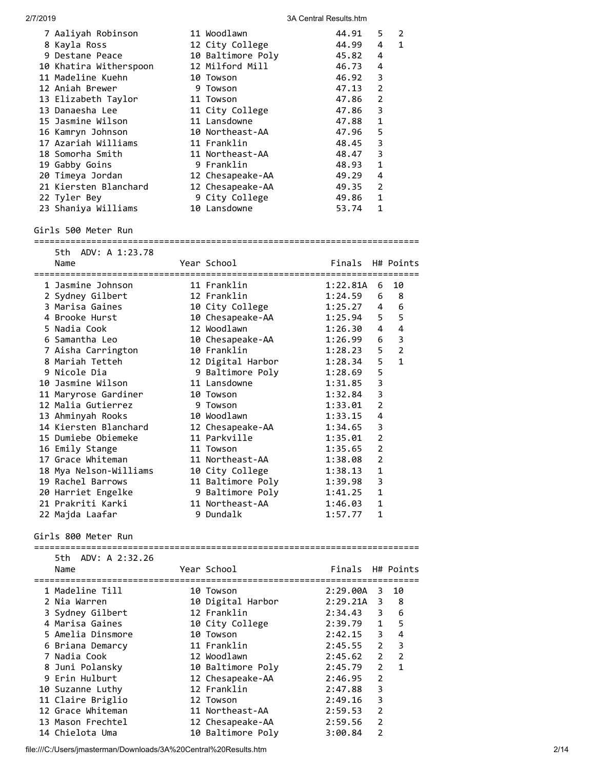| 2/7/2019 |                                                                                                                                                                                                                                                                                                                                                                                                                                                                                           |                                                                                                                                                                                                                                                                                                                                                                                      | 3A Central Results.htm                                                                                                                                                                                                                          |                                                                                                                                                               |                                                                                                     |
|----------|-------------------------------------------------------------------------------------------------------------------------------------------------------------------------------------------------------------------------------------------------------------------------------------------------------------------------------------------------------------------------------------------------------------------------------------------------------------------------------------------|--------------------------------------------------------------------------------------------------------------------------------------------------------------------------------------------------------------------------------------------------------------------------------------------------------------------------------------------------------------------------------------|-------------------------------------------------------------------------------------------------------------------------------------------------------------------------------------------------------------------------------------------------|---------------------------------------------------------------------------------------------------------------------------------------------------------------|-----------------------------------------------------------------------------------------------------|
|          | 7 Aaliyah Robinson<br>8 Kayla Ross<br>9 Destane Peace<br>10 Khatira Witherspoon<br>11 Madeline Kuehn<br>12 Aniah Brewer<br>13 Elizabeth Taylor<br>13 Danaesha Lee<br>15 Jasmine Wilson<br>16 Kamryn Johnson<br>17 Azariah Williams<br>18 Somorha Smith<br>19 Gabby Goins<br>20 Timeya Jordan<br>21 Kiersten Blanchard<br>22 Tyler Bey                                                                                                                                                     | 11 Woodlawn<br>12 City College<br>10 Baltimore Poly<br>12 Milford Mill<br>10 Towson<br>9 Towson<br>11 Towson<br>11 City College<br>11 Lansdowne<br>10 Northeast-AA<br>11 Franklin<br>11 Northeast-AA<br>9 Franklin<br>12 Chesapeake-AA<br>12 Chesapeake-AA<br>9 City College                                                                                                         | 44.91<br>44.99<br>45.82<br>46.73<br>46.92<br>47.13<br>47.86<br>47.86<br>47.88<br>47.96<br>48.45<br>48.47<br>48.93<br>49.29<br>49.35<br>49.86                                                                                                    | 5<br>4<br>4<br>4<br>3<br>$\overline{2}$<br>2<br>3<br>1<br>5<br>3<br>3<br>1<br>4<br>2<br>1                                                                     | 2<br>1                                                                                              |
|          | 23 Shaniya Williams<br>Girls 500 Meter Run                                                                                                                                                                                                                                                                                                                                                                                                                                                | 10 Lansdowne                                                                                                                                                                                                                                                                                                                                                                         | 53.74                                                                                                                                                                                                                                           | 1                                                                                                                                                             |                                                                                                     |
|          |                                                                                                                                                                                                                                                                                                                                                                                                                                                                                           |                                                                                                                                                                                                                                                                                                                                                                                      |                                                                                                                                                                                                                                                 |                                                                                                                                                               |                                                                                                     |
|          | 5th ADV: A 1:23.78<br>Name                                                                                                                                                                                                                                                                                                                                                                                                                                                                | Year School                                                                                                                                                                                                                                                                                                                                                                          | Finals                                                                                                                                                                                                                                          |                                                                                                                                                               | H# Points                                                                                           |
|          | 1 Jasmine Johnson<br>2 Sydney Gilbert<br>3 Marisa Gaines<br>4 Brooke Hurst<br>5 Nadia Cook<br>6 Samantha Leo<br>7 Aisha Carrington<br>8 Mariah Tetteh<br>9 Nicole Dia<br>10 Jasmine Wilson<br>11 Maryrose Gardiner<br>12 Malia Gutierrez<br>13 Ahminyah Rooks<br>14 Kiersten Blanchard<br>15 Dumiebe Obiemeke<br>16 Emily Stange<br>17 Grace Whiteman<br>18 Mya Nelson-Williams<br>19 Rachel Barrows<br>20 Harriet Engelke<br>21 Prakriti Karki<br>22 Majda Laafar<br>Girls 800 Meter Run | 11 Franklin<br>12 Franklin<br>10 City College<br>10 Chesapeake-AA<br>12 Woodlawn<br>10 Chesapeake-AA<br>10 Franklin<br>12 Digital Harbor<br>9 Baltimore Poly<br>11 Lansdowne<br>10 Towson<br>9 Towson<br>10 Woodlawn<br>12 Chesapeake-AA<br>11 Parkville<br>11 Towson<br>11 Northeast-AA<br>10 City College<br>11 Baltimore Poly<br>9 Baltimore Poly<br>11 Northeast-AA<br>9 Dundalk | 1:22.81A<br>1:24.59<br>1:25.27<br>1:25.94<br>1:26.30<br>1:26.99<br>1:28.23<br>1:28.34<br>1:28.69<br>1:31.85<br>1:32.84<br>1:33.01<br>1:33.15<br>1:34.65<br>1:35.01<br>1:35.65<br>1:38.08<br>1:38.13<br>1:39.98<br>1:41.25<br>1:46.03<br>1:57.77 | 6<br>6<br>4<br>5.<br>4<br>6<br>5<br>5<br>5<br>3<br>3<br>$\overline{2}$<br>4<br>3<br>$\overline{2}$<br>2<br>$\overline{2}$<br>$\mathbf{1}$<br>3<br>1<br>1<br>1 | 10<br>8<br>6<br>5<br>4<br>3<br>$\overline{2}$<br>$\mathbf{1}$                                       |
|          | 5th ADV: A 2:32.26<br>Name                                                                                                                                                                                                                                                                                                                                                                                                                                                                | Year School                                                                                                                                                                                                                                                                                                                                                                          | Finals H# Points                                                                                                                                                                                                                                |                                                                                                                                                               |                                                                                                     |
|          | 1 Madeline Till<br>2 Nia Warren<br>3 Sydney Gilbert<br>4 Marisa Gaines<br>5 Amelia Dinsmore<br>6 Briana Demarcy<br>7 Nadia Cook<br>8 Juni Polansky<br>9 Erin Hulburt<br>10 Suzanne Luthy<br>11 Claire Briglio<br>12 Grace Whiteman<br>13 Mason Frechtel<br>14 Chielota Uma                                                                                                                                                                                                                | 10 Towson<br>10 Digital Harbor<br>12 Franklin<br>10 City College<br>10 Towson<br>11 Franklin<br>12 Woodlawn<br>10 Baltimore Poly<br>12 Chesapeake-AA<br>12 Franklin<br>12 Towson<br>11 Northeast-AA<br>12 Chesapeake-AA<br>10 Baltimore Poly                                                                                                                                         | $2:29.00A$ 3<br>$2:29.21A$ 3<br>2:34.43<br>2:39.79<br>2:42.15<br>2:45.55<br>2:45.62<br>2:45.79<br>2:46.95<br>2:47.88<br>2:49.16<br>2:59.53<br>2:59.56<br>3:00.84                                                                                | 3<br>$\overline{2}$<br>$\overline{2}$<br>$\overline{2}$<br>2<br>3<br>3<br>$\overline{2}$<br>$\overline{2}$<br>$\overline{2}$                                  | 10<br>- 8<br>3 6<br>$1 \quad 5$<br>$\overline{4}$<br>$\overline{\mathbf{3}}$<br>$\overline{2}$<br>1 |

file:///C:/Users/jmasterman/Downloads/3A%20Central%20Results.htm 2/14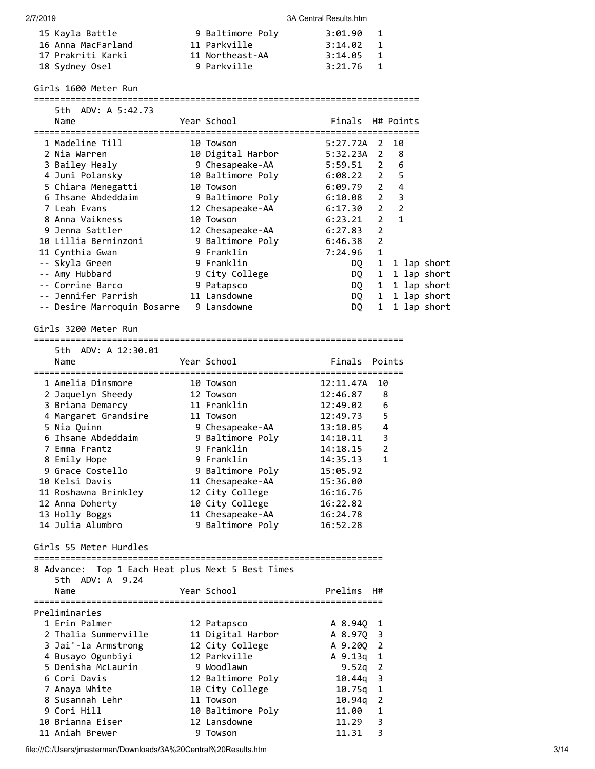| 15 Kayla Battle    | 9 Baltimore Poly | 3:01.90 | $\mathbf{1}$   |
|--------------------|------------------|---------|----------------|
| 16 Anna MacFarland | 11 Parkville     | 3:14.02 | $\mathbf{1}$   |
| 17 Prakriti Karki  | 11 Northeast-AA  | 3:14.05 | $\overline{1}$ |
| 18 Sydney Osel     | 9 Parkville      | 3:21.76 | $\blacksquare$ |

Girls 1600 Meter Run

==========================================================================

| 5th ADV: A 5:42.73          |                                |                  |                |                         |
|-----------------------------|--------------------------------|------------------|----------------|-------------------------|
| Name                        | Year School                    | Finals H# Points |                |                         |
| =======================     | ============================== |                  |                |                         |
| 1 Madeline Till             | 10 Towson                      | $5:27.72A$ 2     |                | 10                      |
| 2 Nia Warren                | 10 Digital Harbor              | $5:32.23A$ 2     |                | 8                       |
| 3 Bailey Healy              | 9 Chesapeake-AA                | $5:59.51$ 2      |                | 6                       |
| 4 Juni Polansky             | 10 Baltimore Poly              | $6:08.22$ 2      |                | 5                       |
| 5 Chiara Menegatti          | 10 Towson                      | $6:09.79$ 2      |                | 4                       |
| 6 Ihsane Abdeddaim          | 9 Baltimore Poly               | $6:10.08$ 2      |                | 3                       |
| 7 Leah Evans                | 12 Chesapeake-AA               | 6:17.30          | $\overline{2}$ | $\overline{\mathbf{2}}$ |
| 8 Anna Vaikness             | 10 Towson                      | 6:23.21          | 2              | $\mathbf{1}$            |
| 9 Jenna Sattler             | 12 Chesapeake-AA               | 6:27.83          | 2              |                         |
| 10 Lillia Berninzoni        | 9 Baltimore Poly               | 6:46.38          | 2              |                         |
| 11 Cynthia Gwan             | 9 Franklin                     | 7:24.96          | $\mathbf{1}$   |                         |
| -- Skyla Green              | 9 Franklin                     | DQ —             |                | 1 1 lap short           |
| -- Amy Hubbard              | 9 City College                 | DQ —             | $\mathbf{1}$   | 1 lap short             |
| -- Corrine Barco            | 9 Patapsco                     | DQ               | $\mathbf{1}$   | 1 lap short             |
| -- Jennifer Parrish         | 11 Lansdowne                   | DQ               | $\mathbf{1}$   | 1 lap short             |
| -- Desire Marroquin Bosarre | 9 Lansdowne                    | DQ.              | $\mathbf{1}$   | 1 lap short             |

## Girls 3200 Meter Run

======================================================================= 5th ADV: A 12:30.01 Name The Year School The Points Points Points ======================================================================= 1 Amelia Dinsmore 10 Towson 12:11.47A 10 2 Jaquelyn Sheedy 12 Towson 12:46.87 8 3 Briana Demarcy 11 Franklin 12:49.02 6 4 Margaret Grandsire 11 Towson 12:49.73 5 5 Nia Quinn 9 Chesapeake-AA 13:10.05 4 6 Ihsane Abdeddaim 9 Baltimore Poly 14:10.11 3 7 Emma Frantz 9 Franklin 14:18.15 2 8 Emily Hope 9 Franklin 14:35.13 1 9 Grace Costello 9 Baltimore Poly 15:05.92 10 Kelsi Davis 11 Chesapeake-AA 15:36.00 11 Roshawna Brinkley 12 City College 16:16.76 12 Anna Doherty 10 City College 16:22.82 13 Holly Boggs 11 Chesapeake-AA 16:24.78

Girls 55 Meter Hurdles

| 8 Advance: Top 1 Each Heat plus Next 5 Best Times<br>5th ADV: A 9.24 |                   |            |              |
|----------------------------------------------------------------------|-------------------|------------|--------------|
| Name                                                                 | Year School       | Prelims    | H#           |
|                                                                      |                   |            |              |
| Preliminaries                                                        |                   |            |              |
| 1 Erin Palmer                                                        | 12 Patapsco       | A 8.940    | -1           |
| 2 Thalia Summerville                                                 | 11 Digital Harbor | A 8.970 3  |              |
| 3 Jai'-la Armstrong                                                  | 12 City College   | A 9.200 2  |              |
| 4 Busayo Ogunbiyi                                                    | 12 Parkville      | A 9.13g    | 1            |
| 5 Denisha McLaurin                                                   | 9 Woodlawn        | 9.52g      | - 2          |
| 6 Cori Davis                                                         | 12 Baltimore Poly | $10.44q$ 3 |              |
| 7 Anaya White                                                        | 10 City College   | 10.75g     | $\mathbf{1}$ |
| 8 Susannah Lehr                                                      | 11 Towson         | 10.94g     | 2            |
| 9 Cori Hill                                                          | 10 Baltimore Poly | 11.00      | 1            |
| 10 Brianna Eiser                                                     | 12 Lansdowne      | 11.29      | 3            |
| 11 Aniah Brewer                                                      | 9 Towson          | 11.31      | 3            |

14 Julia Alumbro 9 Baltimore Poly 16:52.28

file:///C:/Users/jmasterman/Downloads/3A%20Central%20Results.htm 3/14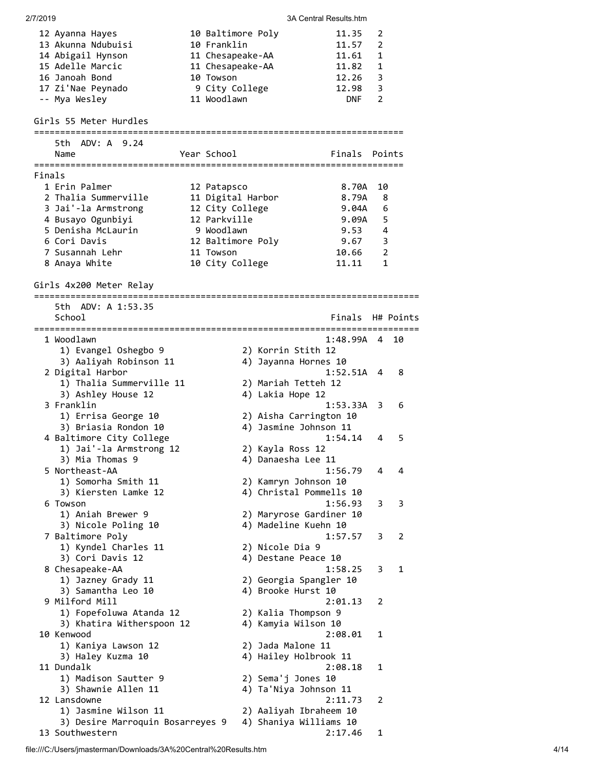| 2/7/2019 |                                  |                   |                         | 3A Central Results.htm |     |           |
|----------|----------------------------------|-------------------|-------------------------|------------------------|-----|-----------|
|          | 12 Ayanna Hayes                  | 10 Baltimore Poly |                         | 11.35                  | 2   |           |
|          | 13 Akunna Ndubuisi               | 10 Franklin       |                         | 11.57                  | 2   |           |
|          | 14 Abigail Hynson                | 11 Chesapeake-AA  |                         | 11.61                  | 1   |           |
|          | 15 Adelle Marcic                 | 11 Chesapeake-AA  |                         | 11.82                  | 1   |           |
|          | 16 Janoah Bond                   | 10 Towson         |                         | 12.26                  | 3   |           |
|          | 17 Zi'Nae Peynado                | 9 City College    |                         | 12.98                  | 3   |           |
|          | -- Mya Wesley                    | 11 Woodlawn       |                         | <b>DNF</b>             | 2   |           |
|          |                                  |                   |                         |                        |     |           |
|          | Girls 55 Meter Hurdles           |                   |                         |                        |     |           |
|          | 5th ADV: A 9.24                  |                   |                         |                        |     |           |
|          | Name                             | Year School       |                         | Finals                 |     | Points    |
|          |                                  |                   |                         |                        |     |           |
| Finals   |                                  |                   |                         |                        |     |           |
|          | 1 Erin Palmer                    | 12 Patapsco       |                         | 8.70A                  | 10  |           |
|          | 2 Thalia Summerville             | 11 Digital Harbor |                         | 8.79A                  | 8   |           |
|          | 3 Jai'-la Armstrong              | 12 City College   |                         | 9.04A                  | 6   |           |
|          | 4 Busayo Ogunbiyi                | 12 Parkville      |                         | 9.09A                  | 5   |           |
|          | 5 Denisha McLaurin               | 9 Woodlawn        |                         | 9.53                   | 4   |           |
|          | 6 Cori Davis                     | 12 Baltimore Poly |                         | 9.67                   | 3   |           |
|          | 7 Susannah Lehr                  | 11 Towson         |                         | 10.66                  | 2   |           |
|          | 8 Anaya White                    | 10 City College   |                         | 11.11                  | 1   |           |
|          | Girls 4x200 Meter Relay          |                   |                         |                        |     |           |
|          | 5th ADV: A 1:53.35               |                   |                         |                        |     |           |
|          | School                           |                   |                         | Finals                 |     | H# Points |
|          |                                  |                   |                         |                        |     |           |
|          | 1 Woodlawn                       |                   |                         | 1:48.99A               | - 4 | 10        |
|          | 1) Evangel Oshegbo 9             |                   | 2) Korrin Stith 12      |                        |     |           |
|          | 3) Aaliyah Robinson 11           |                   | 4) Jayanna Hornes 10    |                        |     |           |
|          | 2 Digital Harbor                 |                   |                         | $1:52.51A$ 4           |     | 8         |
|          | 1) Thalia Summerville 11         |                   | 2) Mariah Tetteh 12     |                        |     |           |
|          | 3) Ashley House 12               |                   | 4) Lakia Hope 12        |                        |     |           |
|          | 3 Franklin                       |                   |                         | $1:53.33A$ 3           |     | 6         |
|          | 1) Errisa George 10              |                   | 2) Aisha Carrington 10  |                        |     |           |
|          | 3) Briasia Rondon 10             |                   | 4) Jasmine Johnson 11   |                        |     |           |
|          | 4 Baltimore City College         |                   |                         | 1:54.14                | 4   | 5         |
|          | 1) Jai'-la Armstrong 12          |                   | 2) Kayla Ross 12        |                        |     |           |
|          | 3) Mia Thomas 9                  |                   | 4) Danaesha Lee 11      |                        |     |           |
|          | 5 Northeast-AA                   |                   |                         | 1:56.79                | 4   | 4         |
|          | 1) Somorha Smith 11              |                   | 2) Kamryn Johnson 10    |                        |     |           |
|          | 3) Kiersten Lamke 12             |                   | 4) Christal Pommells 10 |                        |     |           |
|          | 6 Towson                         |                   |                         | 1:56.93                | 3   | 3         |
|          | 1) Aniah Brewer 9                |                   | 2) Maryrose Gardiner 10 |                        |     |           |
|          | 3) Nicole Poling 10              |                   | 4) Madeline Kuehn 10    |                        |     |           |
|          | 7 Baltimore Poly                 |                   |                         | 1:57.57                | 3   | 2         |
|          | 1) Kyndel Charles 11             |                   | 2) Nicole Dia 9         |                        |     |           |
|          | 3) Cori Davis 12                 |                   | 4) Destane Peace 10     |                        |     |           |
|          | 8 Chesapeake-AA                  |                   |                         | 1:58.25                | 3   | 1         |
|          | 1) Jazney Grady 11               |                   | 2) Georgia Spangler 10  |                        |     |           |
|          | 3) Samantha Leo 10               |                   | 4) Brooke Hurst 10      |                        |     |           |
|          | 9 Milford Mill                   |                   |                         | 2:01.13                | 2   |           |
|          | 1) Fopefoluwa Atanda 12          |                   | 2) Kalia Thompson 9     |                        |     |           |
|          | 3) Khatira Witherspoon 12        |                   | 4) Kamyia Wilson 10     |                        |     |           |
|          | 10 Kenwood                       |                   |                         | 2:08.01                | 1   |           |
|          | 1) Kaniya Lawson 12              |                   | 2) Jada Malone 11       |                        |     |           |
|          | 3) Haley Kuzma 10                |                   | 4) Hailey Holbrook 11   |                        |     |           |
|          | 11 Dundalk                       |                   |                         | 2:08.18                | 1   |           |
|          | 1) Madison Sautter 9             |                   | 2) Sema'j Jones 10      |                        |     |           |
|          | 3) Shawnie Allen 11              |                   | 4) Ta'Niya Johnson 11   |                        |     |           |
|          | 12 Lansdowne                     |                   |                         | 2:11.73                | 2   |           |
|          | 1) Jasmine Wilson 11             |                   | 2) Aaliyah Ibraheem 10  |                        |     |           |
|          | 3) Desire Marroquin Bosarreyes 9 |                   | 4) Shaniya Williams 10  |                        |     |           |
|          | 13 Southwestern                  |                   |                         | 2:17.46                | 1   |           |

file:///C:/Users/jmasterman/Downloads/3A%20Central%20Results.htm 4/14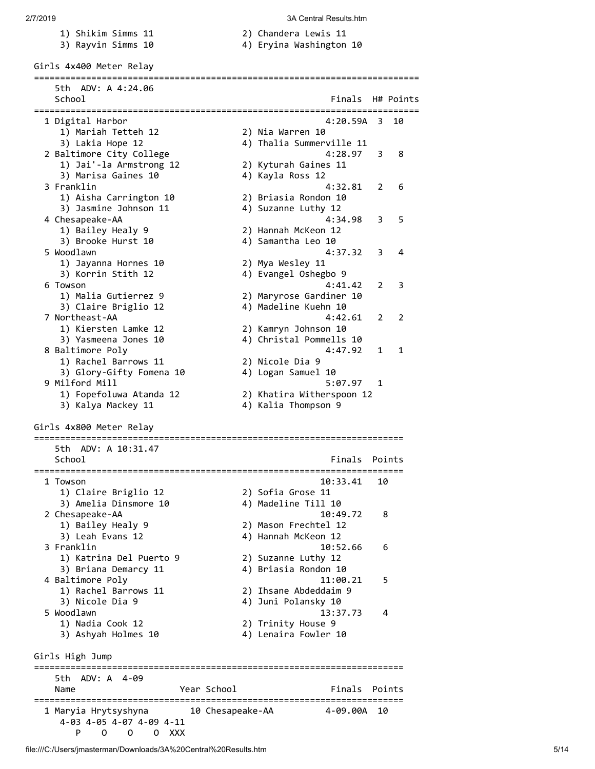- 1) Shikim Simms 11 2) Chandera Lewis 11
	-

- 
- 3) Rayvin Simms 10 4) Eryina Washington 10

Girls 4x400 Meter Relay ========================================================================== 5th ADV: A 4:24.06 School **Finals** H# Points ========================================================================== 1 Digital Harbor 4:20.59A 3 10 1) Mariah Tetteh 12 2) Nia Warren 10 3) Lakia Hope 12 4) Thalia Summerville 11 2 Baltimore City College 4:28.97 3 8 1) Jai'-la Armstrong 12 2) Kyturah Gaines 11 3) Marisa Gaines 10 4) Kayla Ross 12 3 Franklin 4:32.81 2 6 1) Aisha Carrington 10 2) Briasia Rondon 10 3) Jasmine Johnson 11  $\hskip10mm$  4) Suzanne Luthy 12 4 Chesapeake-AA 4:34.98 3 5<br>1) Bailey Healy 9 2) Hannah McKeon 12 1) Bailey Healy 9 2) Hannah McKeon 12 3) Brooke Hurst 10 4) Samantha Leo 10 5 Woodlawn 4:37.32 3 4 1) Jayanna Hornes 10 2) Mya Wesley 11<br>1) Jayanna Hornes 10 2) Mya Wesley 11 3) Korrin Stith 12 (4) Evangel Oshegbo 9 6 Towson 4:41.42 2 3 1) Malia Gutierrez 9 2) Maryrose Gardiner 10<br>3) Claire Briglio 12 4) Madeline Kuehn 10<br>4.42.61 3) Claire Briglio 12 4) Madeline Kuehn 10 7 Northeast-AA 4:42.61 2 2 1) Kiersten Lamke 12 2) Kamryn Johnson 10 3) Yasmeena Jones 10 4) Christal Pommells 10 8 Baltimore Poly 4:47.92 1 1 1) Rachel Barrows 11 2) Nicole Dia 9 3) Glory-Gifty Fomena 10 4) Logan Samuel 10 9 Milford Mill 5:07.97 1 1) Fopefoluwa Atanda 12 2) Khatira Witherspoon 12 3) Kalya Mackey 11 4) Kalia Thompson 9 Girls 4x800 Meter Relay ======================================================================= 5th ADV: A 10:31.47 School **Finals Points** ======================================================================= 1 Towson 10:33.41 10 1) Claire Briglio 12 2) Sofia Grose 11 3) Amelia Dinsmore 10 4) Madeline Till 10 2 Chesapeake-AA 10:49.72 8 1) Bailey Healy 9 2) Mason Frechtel 12 3) Leah Evans 12 4) Hannah McKeon 12 3 Franklin 10:52.66 6 1) Katrina Del Puerto 9 2) Suzanne Luthy 12 3) Briana Demarcy 11 4) Briasia Rondon 10 4 Baltimore Poly 11:00.21 5 1) Rachel Barrows 11 2) Ihsane Abdeddaim 9 3) Nicole Dia 9 11 - 2010 12:00 4) Juni Polansky 10 5 Woodlawn 13:37.73 4 1) Nadia Cook 12 2) Trinity House 9 3) Ashyah Holmes 10 4) Lenaira Fowler 10 Girls High Jump ======================================================================= 5th ADV: A 4-09 Name The Year School Team and Points Points ======================================================================= 1 Maryia Hrytsyshyna 10 Chesapeake-AA 4-09.00A 10 4-03 4-05 4-07 4-09 4-11 P O O O XXX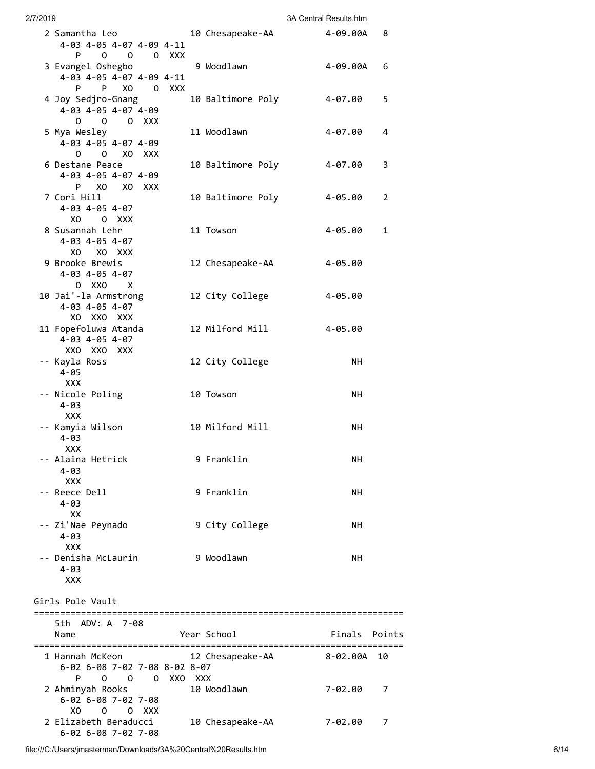| 2/7/2019 |                                                                                         |       |                   | 3A Central Results htm |    |
|----------|-----------------------------------------------------------------------------------------|-------|-------------------|------------------------|----|
|          | 2 Samantha Leo<br>4-03 4-05 4-07 4-09 4-11<br>P.                                        |       | 10 Chesapeake-AA  | 4-09.00A               | 8  |
|          | 0 0 0 XXX<br>3 Evangel Oshegbo<br>4-03 4-05 4-07 4-09 4-11<br>P<br>P <sub>2</sub><br>XO | O XXX | 9 Woodlawn        | 4-09.00A               | 6  |
|          | 4 Joy Sedjro-Gnang<br>4-03 4-05 4-07 4-09<br>$0 \quad 0 \quad 0 \quad$                  |       | 10 Baltimore Poly | 4-07.00                | 5  |
|          | 5 Mya Wesley<br>4-03 4-05 4-07 4-09<br>0 0 XO XXX                                       |       | 11 Woodlawn       | 4-07.00                | 4  |
|          | 6 Destane Peace<br>4-03 4-05 4-07 4-09                                                  |       | 10 Baltimore Poly | 4-07.00                | 3  |
|          | PXOXOXXX<br>7 Cori Hill<br>4-03 4-05 4-07                                               |       | 10 Baltimore Poly | 4-05.00                | 2  |
|          | XO OXXX<br>8 Susannah Lehr<br>4-03 4-05 4-07                                            |       | 11 Towson         | 4-05.00                | 1  |
|          | XO XO XXX<br>9 Brooke Brewis<br>4-03 4-05 4-07                                          |       | 12 Chesapeake-AA  | 4-05.00                |    |
|          | 0 XXO X<br>10 Jai'-la Armstrong<br>4-03 4-05 4-07                                       |       | 12 City College   | $4 - 05.00$            |    |
|          | XO XXO XXX<br>11 Fopefoluwa Atanda<br>4-03 4-05 4-07                                    |       | 12 Milford Mill   | 4-05.00                |    |
|          | XXO XXO XXX<br>-- Kayla Ross<br>4-05                                                    |       | 12 City College   | NH.                    |    |
|          | <b>XXX</b><br>-- Nicole Poling<br>$4 - 03$                                              |       | 10 Towson         | NH.                    |    |
|          | <b>XXX</b><br>-- Kamyia Wilson<br>$4 - 03$                                              |       | 10 Milford Mill   | NH.                    |    |
|          | XXX<br>-- Alaina Hetrick<br>4-03                                                        |       | 9 Franklin        | NΗ                     |    |
|          | XXX<br>-- Reece Dell<br>4-03                                                            |       | 9 Franklin        | NΗ                     |    |
|          | XХ<br>-- Zi'Nae Peynado<br>$4 - 03$                                                     |       | 9 City College    | NH.                    |    |
|          | <b>XXX</b><br>-- Denisha McLaurin<br>$4 - 03$<br><b>XXX</b>                             |       | 9 Woodlawn        | NH.                    |    |
|          | Girls Pole Vault                                                                        |       |                   |                        |    |
|          | 5th ADV: A 7-08<br>Name                                                                 |       | Year School       | Finals Points          |    |
|          | 1 Hannah McKeon<br>6-02 6-08 7-02 7-08 8-02 8-07<br>P.<br>0 0 0 XXO XXX                 |       | 12 Chesapeake-AA  | 8-02.00A               | 10 |
|          | 2 Ahminyah Rooks<br>6-02 6-08 7-02 7-08<br>X0<br>$0 \t 0 \t XXX$                        |       | 10 Woodlawn       | 7-02.00                | 7  |
|          | 2 Elizabeth Beraducci<br>$6 - 02$ $6 - 08$ $7 - 02$ $7 - 08$                            |       | 10 Chesapeake-AA  | 7-02.00                | 7  |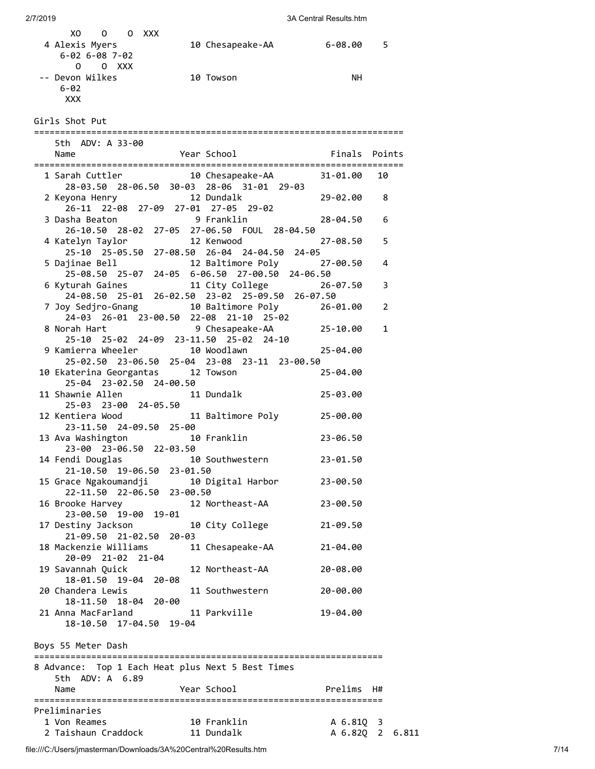| XO O O XXX<br>4 Alexis Myers<br>6-02 6-08 7-02                           | 10 Chesapeake-AA 6-08.00                                                       |                              | 5 |  |
|--------------------------------------------------------------------------|--------------------------------------------------------------------------------|------------------------------|---|--|
| $0$ 0 XXX<br>-- Devon Wilkes                                             | 10 Towson                                                                      | NН                           |   |  |
| $6 - 02$<br>XXX.                                                         |                                                                                |                              |   |  |
| Girls Shot Put                                                           |                                                                                |                              |   |  |
| 5th ADV: A 33-00                                                         |                                                                                |                              |   |  |
| Name                                                                     | Year School                                                                    | Finals Points                |   |  |
|                                                                          | 1 Sarah Cuttler 10 Chesapeake-AA 31-01.00 10                                   |                              |   |  |
|                                                                          | 28-03.50 28-06.50 30-03 28-06 31-01 29-03                                      |                              |   |  |
| 2 Keyona Henry<br>26-11 22-08 27-09 27-01 27-05 29-02                    | 12 Dundalk                                                                     | 29-02.00                     | 8 |  |
| 3 Dasha Beaton                                                           | 9 Franklin                                                                     | 28-04.50                     | 6 |  |
|                                                                          | 26-10.50 28-02 27-05 27-06.50 FOUL 28-04.50                                    |                              |   |  |
| 4 Katelyn Taylor                                                         | 12 Kenwood<br>25-10 25-05.50 27-08.50 26-04 24-04.50 24-05                     | 27-08.50                     | 5 |  |
|                                                                          | 5 Dajinae Bell <b>12 Baltimore Poly</b> 27-00.50                               |                              | 4 |  |
|                                                                          | 25-08.50 25-07 24-05 6-06.50 27-00.50 24-06.50                                 |                              |   |  |
|                                                                          |                                                                                |                              | 3 |  |
|                                                                          | 24-08.50 25-01 26-02.50 23-02 25-09.50 26-07.50                                |                              | 2 |  |
|                                                                          |                                                                                |                              |   |  |
|                                                                          | 8 Norah Hart 9 Chesapeake-AA 25-10.00                                          |                              | 1 |  |
| 25-10 25-02 24-09 23-11.50 25-02 24-10<br>9 Kamierra Wheeler 10 Woodlawn |                                                                                |                              |   |  |
|                                                                          | 25-02.50 23-06.50 25-04 23-08 23-11 23-00.50                                   | 25-04.00                     |   |  |
| 25-04 23-02.50 24-00.50                                                  | 10 Ekaterina Georgantas 12 Towson                                              | 25-04.00                     |   |  |
| 11 Shawnie Allen<br>25-03 23-00 24-05.50                                 | 11 Dundalk                                                                     | 25-03.00                     |   |  |
| 12 Kentiera Wood<br>23-11.50 24-09.50 25-00                              | 11 Baltimore Poly 25-00.00                                                     |                              |   |  |
| 13 Ava Washington                                                        | 10 Franklin                                                                    | 23-06.50                     |   |  |
| 23-00 23-06.50 22-03.50<br>14 Fendi Douglas                              | 10 Southwestern                                                                | 23-01.50                     |   |  |
| 21-10.50 19-06.50 23-01.50                                               |                                                                                |                              |   |  |
|                                                                          | 15 Grace Ngakoumandji 10 Digital Harbor 23-00.50<br>22-11.50 22-06.50 23-00.50 |                              |   |  |
| 16 Brooke Harvey 12 Northeast-AA<br>23-00.50 19-00 19-01                 |                                                                                | 23-00.50                     |   |  |
| 21-09.50 21-02.50 20-03                                                  |                                                                                | 21-09.50                     |   |  |
| 18 Mackenzie Williams<br>20-09 21-02 21-04                               | 11 Chesapeake-AA                                                               | $21 - 04.00$                 |   |  |
| 19 Savannah Quick 12 Northeast-AA<br>18-01.50 19-04 20-08                |                                                                                | 20-08.00                     |   |  |
| 20 Chandera Lewis                                                        | 11 Southwestern                                                                | 20-00.00                     |   |  |
| 18-11.50 18-04 20-00<br>21 Anna MacFarland 11 Parkville                  |                                                                                | 19-04.00                     |   |  |
| 18-10.50 17-04.50 19-04                                                  |                                                                                |                              |   |  |
| Boys 55 Meter Dash<br>=================                                  |                                                                                |                              |   |  |
| 8 Advance: Top 1 Each Heat plus Next 5 Best Times                        |                                                                                |                              |   |  |
| 5th ADV: A 6.89<br>Name                                                  | Year School                                                                    | Prelims H#                   |   |  |
|                                                                          |                                                                                |                              |   |  |
| Preliminaries                                                            |                                                                                |                              |   |  |
| 1 Von Reames<br>2 Taishaun Craddock 11 Dundalk                           | 10 Franklin                                                                    | A 6.81Q 3<br>A 6.82Q 2 6.811 |   |  |
|                                                                          |                                                                                |                              |   |  |

file:///C:/Users/jmasterman/Downloads/3A%20Central%20Results.htm 7/14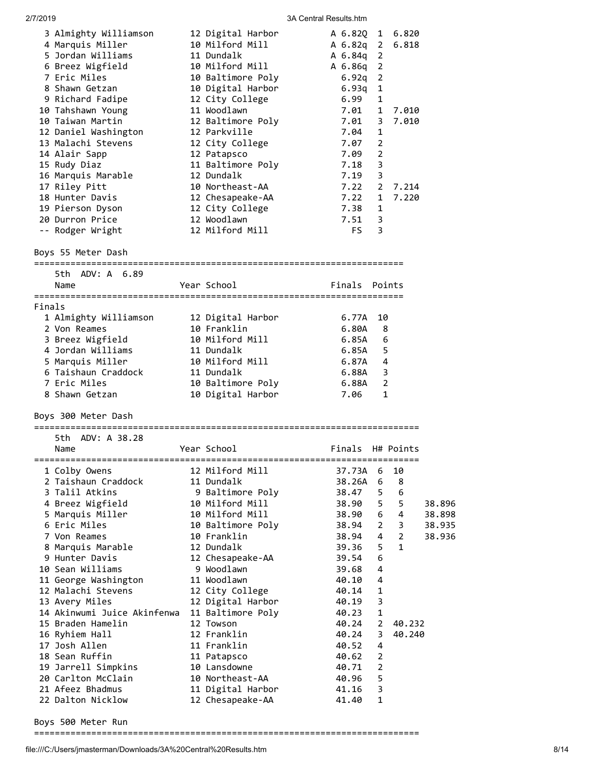|        | 3 Almighty Williamson<br>4 Marquis Miller<br>5 Jordan Williams<br>6 Breez Wigfield<br>7 Eric Miles<br>8 Shawn Getzan<br>9 Richard Fadipe<br>10 Tahshawn Young<br>10 Taiwan Martin<br>12 Daniel Washington<br>13 Malachi Stevens<br>14 Alair Sapp<br>15 Rudy Diaz<br>16 Marquis Marable<br>17 Riley Pitt<br>18 Hunter Davis<br>19 Pierson Dyson<br>20 Durron Price<br>-- Rodger Wright | 12 Digital Harbor<br>10 Milford Mill<br>11 Dundalk<br>10 Milford Mill<br>10 Baltimore Poly<br>10 Digital Harbor<br>12 City College<br>11 Woodlawn<br>12 Baltimore Poly<br>12 Parkville<br>12 City College<br>12 Patapsco<br>11 Baltimore Poly<br>12 Dundalk<br>10 Northeast-AA<br>12 Chesapeake-AA<br>12 City College<br>12 Woodlawn<br>12 Milford Mill | A 6.82Q 1 6.820<br>A 6.82q 2<br>A 6.84q 2<br>A 6.86q 2<br>$6.92q$ 2<br>6.93q<br>6.99<br>7.01<br>7.01<br>7.04<br>7.07<br>7.09<br>$7.18$ 3<br>$7.19$ 3<br>7.22<br>7.22<br>7.38<br>7.51<br>FS. | 1<br>1<br>1<br>3<br>1<br>2<br>2<br>2<br>1<br>1<br>- 3<br>3 | 6.818<br>7.010<br>7.010<br>7.214<br>7.220 |        |
|--------|---------------------------------------------------------------------------------------------------------------------------------------------------------------------------------------------------------------------------------------------------------------------------------------------------------------------------------------------------------------------------------------|---------------------------------------------------------------------------------------------------------------------------------------------------------------------------------------------------------------------------------------------------------------------------------------------------------------------------------------------------------|---------------------------------------------------------------------------------------------------------------------------------------------------------------------------------------------|------------------------------------------------------------|-------------------------------------------|--------|
|        | Boys 55 Meter Dash                                                                                                                                                                                                                                                                                                                                                                    |                                                                                                                                                                                                                                                                                                                                                         |                                                                                                                                                                                             |                                                            |                                           |        |
|        | 5th ADV: A 6.89                                                                                                                                                                                                                                                                                                                                                                       |                                                                                                                                                                                                                                                                                                                                                         |                                                                                                                                                                                             |                                                            |                                           |        |
|        | Name                                                                                                                                                                                                                                                                                                                                                                                  | Year School                                                                                                                                                                                                                                                                                                                                             | Finals Points                                                                                                                                                                               |                                                            |                                           |        |
| Finals |                                                                                                                                                                                                                                                                                                                                                                                       |                                                                                                                                                                                                                                                                                                                                                         |                                                                                                                                                                                             |                                                            |                                           |        |
|        | 1 Almighty Williamson                                                                                                                                                                                                                                                                                                                                                                 | 12 Digital Harbor                                                                                                                                                                                                                                                                                                                                       | 6.77A                                                                                                                                                                                       | 10                                                         |                                           |        |
|        | 2 Von Reames                                                                                                                                                                                                                                                                                                                                                                          | 10 Franklin                                                                                                                                                                                                                                                                                                                                             | 6.80A                                                                                                                                                                                       |                                                            | 8                                         |        |
|        | 3 Breez Wigfield                                                                                                                                                                                                                                                                                                                                                                      | 10 Milford Mill                                                                                                                                                                                                                                                                                                                                         | 6.85A                                                                                                                                                                                       |                                                            | 6                                         |        |
|        | 4 Jordan Williams                                                                                                                                                                                                                                                                                                                                                                     | 11 Dundalk                                                                                                                                                                                                                                                                                                                                              | 6.85A                                                                                                                                                                                       |                                                            | 5                                         |        |
|        | 5 Marquis Miller                                                                                                                                                                                                                                                                                                                                                                      | 10 Milford Mill                                                                                                                                                                                                                                                                                                                                         | 6.87A                                                                                                                                                                                       |                                                            | 4                                         |        |
|        | 6 Taishaun Craddock                                                                                                                                                                                                                                                                                                                                                                   | 11 Dundalk                                                                                                                                                                                                                                                                                                                                              | 6.88A                                                                                                                                                                                       |                                                            | 3                                         |        |
|        | 7 Eric Miles                                                                                                                                                                                                                                                                                                                                                                          | 10 Baltimore Poly                                                                                                                                                                                                                                                                                                                                       | 6.88A                                                                                                                                                                                       |                                                            | $\overline{2}$                            |        |
|        | 8 Shawn Getzan                                                                                                                                                                                                                                                                                                                                                                        | 10 Digital Harbor                                                                                                                                                                                                                                                                                                                                       | 7.06                                                                                                                                                                                        |                                                            | 1                                         |        |
|        | Boys 300 Meter Dash                                                                                                                                                                                                                                                                                                                                                                   |                                                                                                                                                                                                                                                                                                                                                         |                                                                                                                                                                                             |                                                            |                                           |        |
|        |                                                                                                                                                                                                                                                                                                                                                                                       |                                                                                                                                                                                                                                                                                                                                                         |                                                                                                                                                                                             |                                                            |                                           |        |
|        | 5th.<br>ADV: A 38.28                                                                                                                                                                                                                                                                                                                                                                  |                                                                                                                                                                                                                                                                                                                                                         |                                                                                                                                                                                             |                                                            |                                           |        |
|        | Name                                                                                                                                                                                                                                                                                                                                                                                  | Year School                                                                                                                                                                                                                                                                                                                                             | Finals H# Points                                                                                                                                                                            |                                                            |                                           |        |
|        |                                                                                                                                                                                                                                                                                                                                                                                       |                                                                                                                                                                                                                                                                                                                                                         |                                                                                                                                                                                             |                                                            |                                           |        |
|        | 1 Colby Owens<br>2 Taishaun Craddock                                                                                                                                                                                                                                                                                                                                                  | 12 Milford Mill<br>11 Dundalk                                                                                                                                                                                                                                                                                                                           | 37.73A<br>38.26A                                                                                                                                                                            | 6<br>6                                                     | 10<br>8                                   |        |
|        | 3 Talil Atkins                                                                                                                                                                                                                                                                                                                                                                        | 9 Baltimore Poly                                                                                                                                                                                                                                                                                                                                        | 38.47                                                                                                                                                                                       | 5                                                          | 6                                         |        |
|        | 4 Breez Wigfield                                                                                                                                                                                                                                                                                                                                                                      | 10 Milford Mill                                                                                                                                                                                                                                                                                                                                         | 38.90                                                                                                                                                                                       | 5                                                          | 5                                         | 38.896 |
|        | 5 Marquis Miller                                                                                                                                                                                                                                                                                                                                                                      | 10 Milford Mill                                                                                                                                                                                                                                                                                                                                         | 38.90                                                                                                                                                                                       | 6                                                          | 4                                         | 38.898 |
|        | 6 Eric Miles                                                                                                                                                                                                                                                                                                                                                                          | 10 Baltimore Poly                                                                                                                                                                                                                                                                                                                                       | 38.94                                                                                                                                                                                       | 2                                                          | 3                                         | 38.935 |
|        | 7 Von Reames                                                                                                                                                                                                                                                                                                                                                                          | 10 Franklin                                                                                                                                                                                                                                                                                                                                             | 38.94                                                                                                                                                                                       | 4                                                          | 2                                         | 38.936 |
|        | 8 Marquis Marable                                                                                                                                                                                                                                                                                                                                                                     | 12 Dundalk                                                                                                                                                                                                                                                                                                                                              | 39.36                                                                                                                                                                                       | 5                                                          | $\mathbf{1}$                              |        |
|        | 9 Hunter Davis<br>10 Sean Williams                                                                                                                                                                                                                                                                                                                                                    | 12 Chesapeake-AA<br>9 Woodlawn                                                                                                                                                                                                                                                                                                                          | 39.54<br>39.68                                                                                                                                                                              | 6<br>4                                                     |                                           |        |
|        | 11 George Washington                                                                                                                                                                                                                                                                                                                                                                  | 11 Woodlawn                                                                                                                                                                                                                                                                                                                                             | 40.10                                                                                                                                                                                       | 4                                                          |                                           |        |
|        | 12 Malachi Stevens                                                                                                                                                                                                                                                                                                                                                                    | 12 City College                                                                                                                                                                                                                                                                                                                                         | 40.14                                                                                                                                                                                       | 1                                                          |                                           |        |
|        | 13 Avery Miles                                                                                                                                                                                                                                                                                                                                                                        | 12 Digital Harbor                                                                                                                                                                                                                                                                                                                                       | 40.19                                                                                                                                                                                       | 3                                                          |                                           |        |
|        | 14 Akinwumi Juice Akinfenwa                                                                                                                                                                                                                                                                                                                                                           | 11 Baltimore Poly                                                                                                                                                                                                                                                                                                                                       | 40.23                                                                                                                                                                                       | $\mathbf{1}$                                               |                                           |        |
|        | 15 Braden Hamelin                                                                                                                                                                                                                                                                                                                                                                     | 12 Towson                                                                                                                                                                                                                                                                                                                                               | 40.24                                                                                                                                                                                       | $\overline{2}$                                             | 40.232                                    |        |
|        | 16 Ryhiem Hall                                                                                                                                                                                                                                                                                                                                                                        | 12 Franklin                                                                                                                                                                                                                                                                                                                                             | 40.24                                                                                                                                                                                       | 3                                                          | 40.240                                    |        |
|        | 17 Josh Allen<br>18 Sean Ruffin                                                                                                                                                                                                                                                                                                                                                       | 11 Franklin<br>11 Patapsco                                                                                                                                                                                                                                                                                                                              | 40.52<br>40.62                                                                                                                                                                              | 4<br>$\overline{2}$                                        |                                           |        |
|        | 19 Jarrell Simpkins                                                                                                                                                                                                                                                                                                                                                                   | 10 Lansdowne                                                                                                                                                                                                                                                                                                                                            | 40.71                                                                                                                                                                                       | $\overline{2}$                                             |                                           |        |
|        | 20 Carlton McClain                                                                                                                                                                                                                                                                                                                                                                    | 10 Northeast-AA                                                                                                                                                                                                                                                                                                                                         | 40.96                                                                                                                                                                                       | 5                                                          |                                           |        |
|        | 21 Afeez Bhadmus                                                                                                                                                                                                                                                                                                                                                                      | 11 Digital Harbor                                                                                                                                                                                                                                                                                                                                       | 41.16                                                                                                                                                                                       | 3                                                          |                                           |        |
|        | 22 Dalton Nicklow                                                                                                                                                                                                                                                                                                                                                                     | 12 Chesapeake-AA                                                                                                                                                                                                                                                                                                                                        | 41.40                                                                                                                                                                                       | 1                                                          |                                           |        |

Boys 500 Meter Run

==========================================================================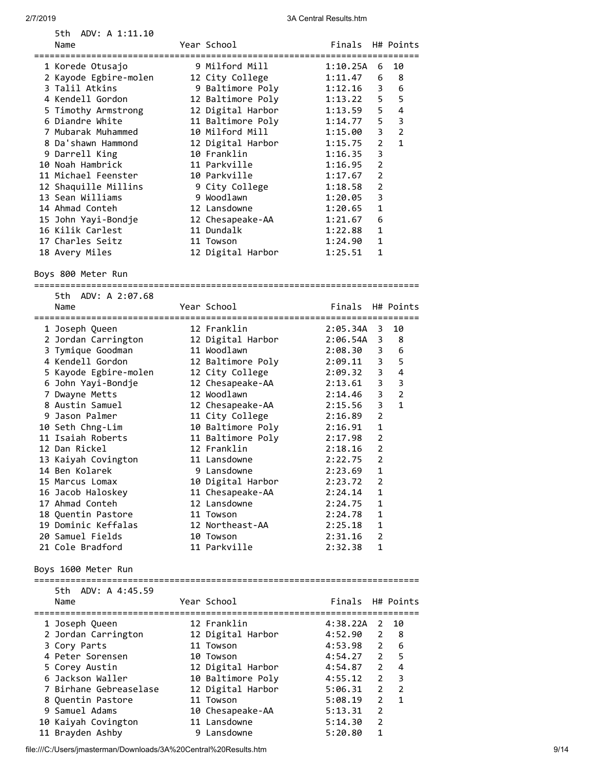| ADV: A 1:11.10<br>5th.<br>Name        | Year School                            | Finals H# Points   |                            |                |
|---------------------------------------|----------------------------------------|--------------------|----------------------------|----------------|
| ===================================== | .================================      |                    |                            |                |
| 1 Korede Otusajo                      | 9 Milford Mill                         | 1:10.25A           | 6                          | 10             |
| 2 Kayode Egbire-molen                 | 12 City College                        | 1:11.47            | 6                          | 8              |
| 3 Talil Atkins                        | 9 Baltimore Poly                       | 1:12.16            | 3                          | 6              |
| 4 Kendell Gordon                      | 12 Baltimore Poly                      | 1:13.22            | 5                          | 5              |
| 5 Timothy Armstrong                   | 12 Digital Harbor                      | 1:13.59            | 5                          | $\overline{4}$ |
| 6 Diandre White                       | 11 Baltimore Poly                      | 1:14.77            | 5                          | 3              |
| 7 Mubarak Muhammed                    | 10 Milford Mill                        | 1:15.00            | 3<br>$\overline{2}$        | $\overline{2}$ |
| 8 Da'shawn Hammond<br>9 Darrell King  | 12 Digital Harbor<br>10 Franklin       | 1:15.75            | 3                          | 1              |
| 10 Noah Hambrick                      | 11 Parkville                           | 1:16.35<br>1:16.95 | 2                          |                |
| 11 Michael Feenster                   | 10 Parkville                           | 1:17.67            | 2                          |                |
| 12 Shaquille Millins                  | 9 City College                         | 1:18.58            | 2                          |                |
| 13 Sean Williams                      | 9 Woodlawn                             | 1:20.05            | 3                          |                |
| 14 Ahmad Conteh                       | 12 Lansdowne                           | 1:20.65            | 1                          |                |
| 15 John Yayi-Bondje                   | 12 Chesapeake-AA                       | 1:21.67            | 6                          |                |
| 16 Kilik Carlest                      | 11 Dundalk                             | 1:22.88            | 1                          |                |
| 17 Charles Seitz                      | 11 Towson                              | 1:24.90            | 1                          |                |
| 18 Avery Miles                        | 12 Digital Harbor                      | 1:25.51            | 1                          |                |
|                                       |                                        |                    |                            |                |
| Boys 800 Meter Run                    | ====================                   |                    |                            |                |
| 5th ADV: A 2:07.68                    |                                        |                    |                            |                |
| Name                                  | Year School                            | Finals             |                            | H# Points      |
|                                       |                                        |                    |                            |                |
| 1 Joseph Queen                        | 12 Franklin                            | 2:05.34A           | 3                          | 10             |
| 2 Jordan Carrington                   | 12 Digital Harbor                      | 2:06.54A           | 3                          | 8              |
| 3 Tymique Goodman                     | 11 Woodlawn                            | 2:08.30            | 3                          | 6              |
| 4 Kendell Gordon                      | 12 Baltimore Poly                      | 2:09.11            | 3                          | 5              |
| 5 Kayode Egbire-molen                 | 12 City College                        | 2:09.32            | 3<br>3                     | 4<br>3         |
| 6 John Yayi-Bondje<br>7 Dwayne Metts  | 12 Chesapeake-AA<br>12 Woodlawn        | 2:13.61<br>2:14.46 | 3                          | $\overline{2}$ |
| 8 Austin Samuel                       | 12 Chesapeake-AA                       | 2:15.56            | 3                          | 1              |
| 9 Jason Palmer                        | 11 City College                        | 2:16.89            | $\overline{2}$             |                |
| 10 Seth Chng-Lim                      | 10 Baltimore Poly                      | 2:16.91            | 1                          |                |
| 11 Isaiah Roberts                     | 11 Baltimore Poly                      | 2:17.98            | 2                          |                |
| 12 Dan Rickel                         | 12 Franklin                            | 2:18.16            | $\overline{2}$             |                |
| 13 Kaiyah Covington                   | 11 Lansdowne                           | 2:22.75            | $\overline{2}$             |                |
| 14 Ben Kolarek                        | 9 Lansdowne                            | 2:23.69            | 1                          |                |
| 15 Marcus Lomax                       | 10 Digital Harbor                      | 2:23.72            | 2                          |                |
| 16 Jacob Haloskey                     | 11 Chesapeake-AA                       | 2:24.14            | 1                          |                |
| 17 Ahmad Conteh                       | 12 Lansdowne                           | 2:24.75            | 1                          |                |
| 18 Quentin Pastore                    | 11 Towson                              | 2:24.78            | 1                          |                |
| 19 Dominic Keffalas                   | 12 Northeast-AA                        | 2:25.18            | 1                          |                |
| 20 Samuel Fields                      | 10 Towson                              | 2:31.16            | 2                          |                |
| 21 Cole Bradford                      | 11 Parkville                           | 2:32.38            | 1                          |                |
| Boys 1600 Meter Run                   |                                        |                    |                            |                |
| 5th ADV: A 4:45.59                    |                                        |                    |                            |                |
| Name                                  | Year School                            | Finals             |                            | H# Points      |
|                                       |                                        |                    |                            |                |
| 1 Joseph Queen                        | 12 Franklin                            | 4:38.22A           | 2                          | 10             |
| 2 Jordan Carrington                   | 12 Digital Harbor                      | 4:52.90            | 2                          | 8              |
| 3 Cory Parts                          | 11 Towson                              | 4:53.98            | $\overline{2}$             | 6              |
| 4 Peter Sorensen                      | 10 Towson                              | 4:54.27            | $\overline{2}$             | 5              |
| 5 Corey Austin<br>6 Jackson Waller    | 12 Digital Harbor<br>10 Baltimore Poly | 4:54.87<br>4:55.12 | $2^{\circ}$<br>$2^{\circ}$ | 4<br>3         |
| 7 Birhane Gebreaselase                | 12 Digital Harbor                      | 5:06.31            | $2^{\circ}$                | $\overline{2}$ |
| 8 Quentin Pastore                     | 11 Towson                              | 5:08.19            | $\overline{2}$             | 1              |
| 9 Samuel Adams                        | 10 Chesapeake-AA                       | 5:13.31            | 2                          |                |
| 10 Kaiyah Covington                   | 11 Lansdowne                           | 5:14.30            | $\overline{2}$             |                |
| 11 Brayden Ashby                      | 9 Lansdowne                            | 5:20.80            | 1                          |                |
|                                       |                                        |                    |                            |                |

file:///C:/Users/jmasterman/Downloads/3A%20Central%20Results.htm 9/14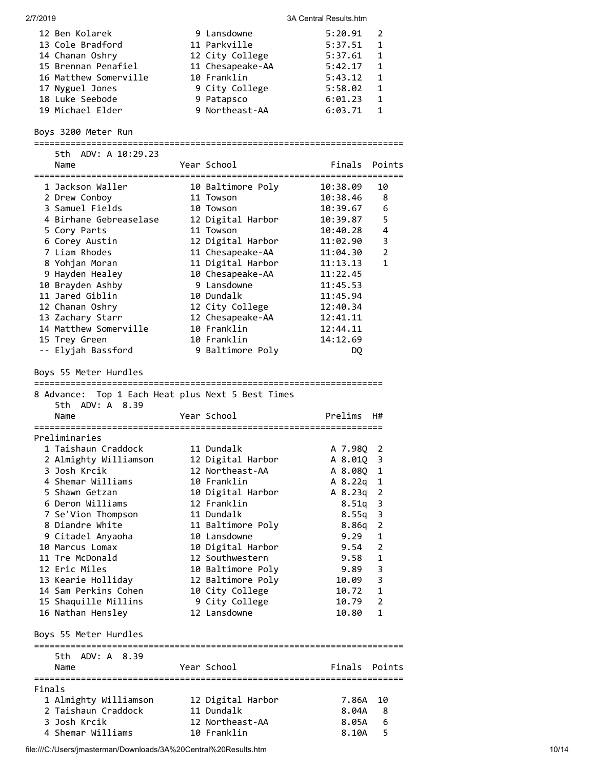| 2/7/2019 |                                                                              |                                | 3A Central Results.htm                 |
|----------|------------------------------------------------------------------------------|--------------------------------|----------------------------------------|
|          | 12 Ben Kolarek                                                               | 9 Lansdowne                    | 5:20.91<br>2                           |
|          | 13 Cole Bradford                                                             | 11 Parkville                   | 5:37.51<br>1                           |
|          | 14 Chanan Oshry                                                              | 12 City College                | 5:37.61<br>1                           |
|          | 15 Brennan Penafiel                                                          | 11 Chesapeake-AA               | 5:42.17<br>1                           |
|          | 16 Matthew Somerville                                                        | 10 Franklin                    | 5:43.12<br>1                           |
|          | 17 Nyguel Jones                                                              | 9 City College                 | 5:58.02<br>1                           |
|          | 18 Luke Seebode                                                              | 9 Patapsco                     | 6:01.23<br>1                           |
|          | 19 Michael Elder                                                             | 9 Northeast-AA                 | $\mathbf{1}$<br>6:03.71                |
|          | Boys 3200 Meter Run                                                          |                                |                                        |
|          | 5th ADV: A 10:29.23                                                          |                                |                                        |
|          | Name                                                                         | Year School                    | Finals<br>Points                       |
|          | 1 Jackson Waller                                                             | 10 Baltimore Poly              | 10:38.09<br>10                         |
|          | 2 Drew Conboy                                                                | 11 Towson                      | 10:38.46<br>8                          |
|          | 3 Samuel Fields                                                              | 10 Towson                      | 6<br>10:39.67                          |
|          | 4 Birhane Gebreaselase                                                       | 12 Digital Harbor              | 5<br>10:39.87                          |
|          | 5 Cory Parts                                                                 | 11 Towson                      | 4<br>10:40.28                          |
|          | 6 Corey Austin                                                               | 12 Digital Harbor              | 3<br>11:02.90                          |
|          | 7 Liam Rhodes                                                                | 11 Chesapeake-AA               | 2<br>11:04.30                          |
|          | 8 Yohjan Moran                                                               | 11 Digital Harbor              | 1<br>11:13.13                          |
|          | 9 Hayden Healey                                                              | 10 Chesapeake-AA               | 11:22.45                               |
|          | 10 Brayden Ashby                                                             | 9 Lansdowne                    | 11:45.53                               |
|          | 11 Jared Giblin                                                              | 10 Dundalk                     | 11:45.94                               |
|          | 12 Chanan Oshry                                                              | 12 City College                | 12:40.34                               |
|          | 13 Zachary Starr                                                             | 12 Chesapeake-AA               | 12:41.11                               |
|          | 14 Matthew Somerville                                                        | 10 Franklin                    | 12:44.11                               |
|          | 15 Trey Green                                                                | 10 Franklin                    | 14:12.69                               |
|          | -- Elyjah Bassford                                                           | 9 Baltimore Poly               | DQ                                     |
|          | 8 Advance: Top 1 Each Heat plus Next 5 Best Times<br>5th ADV: A 8.39<br>Name | Year School                    | Prelims<br>H#                          |
|          |                                                                              |                                |                                        |
|          | Preliminaries<br>1 Taishaun Craddock                                         |                                |                                        |
|          |                                                                              | 11 Dundalk                     | A 7.98Q<br>$\overline{\mathbf{c}}$     |
|          | 2 Almighty Williamson                                                        | 12 Digital Harbor              | 3<br>A 8.01Q                           |
|          | 3 Josh Krcik                                                                 | 12 Northeast-AA                | 1<br>A 8.08Q                           |
|          | 4 Shemar Williams                                                            | 10 Franklin                    | A 8.22q<br>$\mathbf{1}$                |
|          | 5 Shawn Getzan                                                               | 10 Digital Harbor              | A 8.23q<br>$\overline{2}$              |
|          | 6 Deron Williams                                                             | 12 Franklin<br>11 Dundalk      | 8.51q<br>$\overline{\mathbf{3}}$       |
|          | 7 Se'Vion Thompson<br>8 Diandre White                                        |                                | 8.55q<br>3                             |
|          |                                                                              | 11 Baltimore Poly              | 2<br>8.86q                             |
|          | 9 Citadel Anyaoha                                                            | 10 Lansdowne                   | $\mathbf{1}$<br>9.29<br>$\overline{2}$ |
|          | 10 Marcus Lomax                                                              | 10 Digital Harbor              | 9.54                                   |
|          | 11 Tre McDonald                                                              | 12 Southwestern                | 1<br>9.58                              |
|          | 12 Eric Miles                                                                | 10 Baltimore Poly              | 3<br>9.89                              |
|          | 13 Kearie Holliday                                                           | 12 Baltimore Poly              | 3<br>10.09                             |
|          | 14 Sam Perkins Cohen                                                         | 10 City College                | 10.72<br>1                             |
|          | 15 Shaquille Millins<br>16 Nathan Hensley                                    | 9 City College<br>12 Lansdowne | 10.79<br>2<br>10.80<br>1               |
|          | Boys 55 Meter Hurdles                                                        |                                |                                        |
|          |                                                                              |                                |                                        |
|          | 5th ADV: A 8.39<br>Name                                                      | Year School                    | Finals Points                          |
|          |                                                                              |                                |                                        |
| Finals   |                                                                              |                                |                                        |
|          |                                                                              |                                |                                        |
|          | 1 Almighty Williamson                                                        | 12 Digital Harbor              | 7.86A<br>10                            |
|          | 2 Taishaun Craddock                                                          | 11 Dundalk                     | 8.04A<br>8                             |
|          | 3 Josh Krcik<br>4 Shemar Williams                                            | 12 Northeast-AA<br>10 Franklin | 6<br>8.05A<br>8.10A<br>5               |

file:///C:/Users/jmasterman/Downloads/3A%20Central%20Results.htm 10/14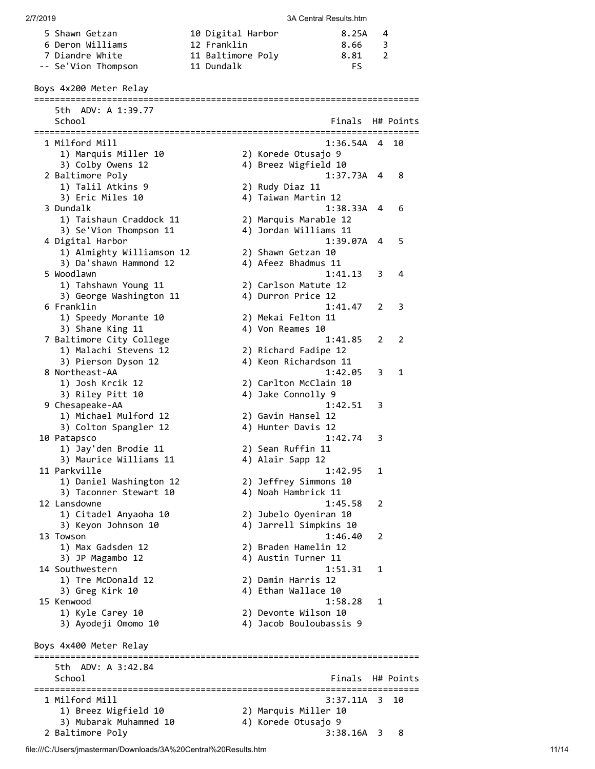| 5 Shawn Getzan      | 10 Digital Harbor | 8.25A | - 4          |
|---------------------|-------------------|-------|--------------|
| 6 Deron Williams    | 12 Franklin       | 8.66  | $\mathbf{R}$ |
| 7 Diandre White     | 11 Baltimore Poly | 8.81  |              |
| -- Se'Vion Thompson | 11 Dundalk        | FS.   |              |

Boys 4x200 Meter Relay

========================================================================== 5th ADV: A 1:39.77 School **Finals** H# Points ========================================================================== 1 Milford Mill 1:36.54A 4 10 1) Marquis Miller 10 2) Korede Otusajo 9 3) Colby Owens 12 4) Breez Wigfield 10 2 Baltimore Poly 1:37.73A 4 8 1) Talil Atkins 9 2) Rudy Diaz 11 3) Eric Miles 10 4) Taiwan Martin 12 3 Dundalk 1:38.33A 4 6 1) Taishaun Craddock 11 2) Marquis Marable 12 3) Se'Vion Thompson 11 4) Jordan Williams 11 4 Digital Harbor 1:39.07A 4 5 1) Almighty Williamson 12 2) Shawn Getzan 10 3) Da'shawn Hammond 12 4) Afeez Bhadmus 11 5 Woodlawn 1:41.13 3 4 1) Tahshawn Young 11 2) Carlson Matute 12 3) George Washington 11  $\hskip10mm$  4) Durron Price 12 6 Franklin 1:41.47 2 3 1:41.<br>1) Speedy Morante 10 2) Mekai Felton 11 3) Shane King 11 4) Von Reames 10 7 Baltimore City College 1:41.85 2 2 1) Malachi Stevens 12 2) Richard Fadipe 12 3) Pierson Dyson 12 4) Keon Richardson 11 8 Northeast-AA 1:42.05 3 1 1) Josh Krcik 12 2) Carlton McClain 10 3) Riley Pitt 10 4) Jake Connolly 9 9 Chesapeake-AA 1:42.51 3 1) Michael Mulford 12 2) Gavin Hansel 12 3) Colton Spangler 12 4) Hunter Davis 12 10 Patapsco 1:42.74 3 1) Jay'den Brodie 11 2) Sean Ruffin 11 3) Maurice Williams 11 4) Alair Sapp 12 11 Parkville 1:42.95 1 1) Daniel Washington 12 2) Jeffrey Simmons 10 3) Taconner Stewart 10 4) Noah Hambrick 11 12 Lansdowne 1:45.58 2 1) Citadel Anyaoha 10 2) Jubelo Oyeniran 10 3) Keyon Johnson 10 4) Jarrell Simpkins 10 13 Towson 1:46.40 2 1) Max Gadsden 12 2) Braden Hamelin 12 3) JP Magambo 12 4) Austin Turner 11 14 Southwestern 1:51.31 1<br>1) Tre McDonald 12 12 2) Damin Harris 12 1) Tre McDonald 12 2) Damin Harris 12 3) Greg Kirk 10 4) Ethan Wallace 10 15 Kenwood 1:58.28 1 1) Kyle Carey 10 2) Devonte Wilson 10 3) Ayodeji Omomo 10 4) Jacob Bouloubassis 9 Boys 4x400 Meter Relay ========================================================================== 5th ADV: A 3:42.84 School **Finals** H# Points ========================================================================== 3:37.11A 3 10 1) Breez Wigfield 10 2) Marquis Miller 10 3) Mubarak Muhammed 10 4) Korede Otusajo 9 2 Baltimore Poly 3:38.16A 3 8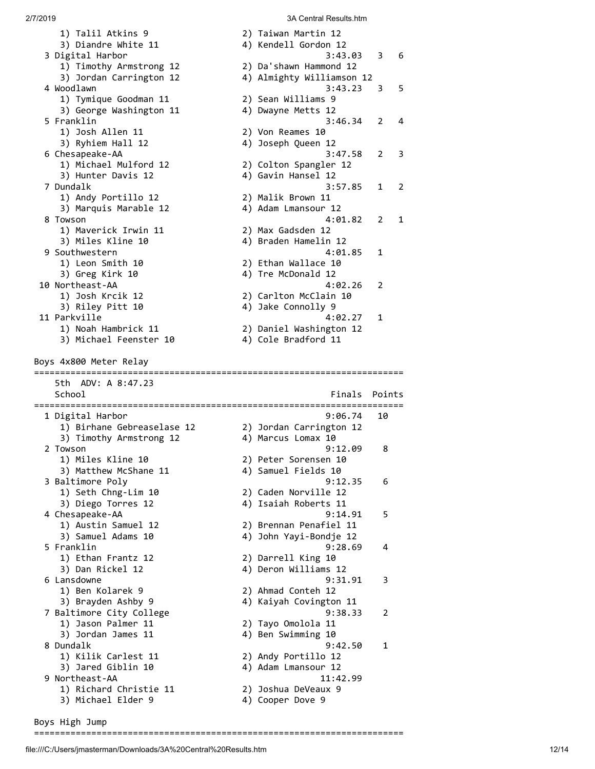1) Talil Atkins 9 2) Taiwan Martin 12 3) Diandre White 11  $\hskip1cm$  4) Kendell Gordon 12 3 Digital Harbor 3:43.03 3 6 1) Timothy Armstrong 12 2) Da'shawn Hammond 12 3) Jordan Carrington 12 4) Almighty Williamson 12 4 Woodlawn 3:43.23 3 5 1) Tymique Goodman 11 2) Sean Williams 9 3) George Washington 11  $\hskip10mm$  4) Dwayne Metts 12 5 Franklin 3:46.34 2 4 1) Josh Allen 11 2 2) Von Reames 10<br>3) Ryhiem Hall 12 2 2 4) Joseph Queen 12 3) Ryhiem Hall 12 6 Chesapeake-AA 3:47.58 2 3 1) Michael Mulford 12 2) Colton Spangler 12 3) Hunter Davis 12 4) Gavin Hansel 12 7 Dundalk 3:57.85 1 2 1) Andy Portillo 12 2) Malik Brown 11 3) Marquis Marable 12 4) Adam Lmansour 12 8 Towson 4:01.82 2 1 1) Maverick Irwin 11 2) Max Gadsden 12 3) Miles Kline 10 4) Braden Hamelin 12 9 Southwestern 4:01.85 1 1) Leon Smith 10 2) Ethan Wallace 10 3) Leon Smith 10<br>3) Greg Kirk 10 4) Tre McDonald 12 10 Northeast-AA 4:02.26 2 1) Josh Krcik 12 2) Carlton McClain 10 3) Riley Pitt 10 4) Jake Connolly 9 11 Parkville 4:02.27 1 1) Noah Hambrick 11 2) Daniel Washington 12 3) Michael Feenster 10 4) Cole Bradford 11 Boys 4x800 Meter Relay ======================================================================= 5th ADV: A 8:47.23 School **Finals Points** ======================================================================= 1 Digital Harbor 9:06.74 10 1) Birhane Gebreaselase 12 2) Jordan Carrington 12 3) Timothy Armstrong 12 4) Marcus Lomax 10 2 Towson 9:12.09 8 1) Miles Kline 10 2) Peter Sorensen 10 3) Matthew McShane 11 4) Samuel Fields 10 3 Baltimore Poly 9:12.35 6 1) Seth Chng-Lim 10 2) Caden Norville 12 3) Diego Torres 12 4) Isaiah Roberts 11 4 Chesapeake-AA 9:14.91 5 1) Austin Samuel 12 2) Brennan Penafiel 11 3) Samuel Adams 10 4) John Yayi-Bondje 12 4 Austri Samuel 12 (2) Brennan Penafiel 11<br>3) Samuel Adams 10 (4) John Yayi-Bondje 12<br>5 Franklin (9:28.69 (4) 9:28.69 (9) 1) Ethan Frantz 12 2) Darrell King 10 3) Dan Rickel 12 4) Deron Williams 12 6 Lansdowne 9:31.91 3 1) Ben Kolarek 9 2) Ahmad Conteh 12 3) Brayden Ashby 9 4) Kaiyah Covington 11 7 Baltimore City College 9:38.33 2 1) Jason Palmer 11 2) Tayo Omolola 11 3) Jordan James 11 4) Ben Swimming 10 8 Dundalk 9:42.50 1<br>
1) Kilik Carlest 11 (2) Andy Portillo 12 1) Kilik Carlest 11 2) Andy Portillo 12 3) Jared Giblin 10 4) Adam Lmansour 12 9 Northeast-AA 11:42.99 1) Richard Christie 11 2) Joshua DeVeaux 9 3) Michael Elder 9 4) Cooper Dove 9

Boys High Jump

=======================================================================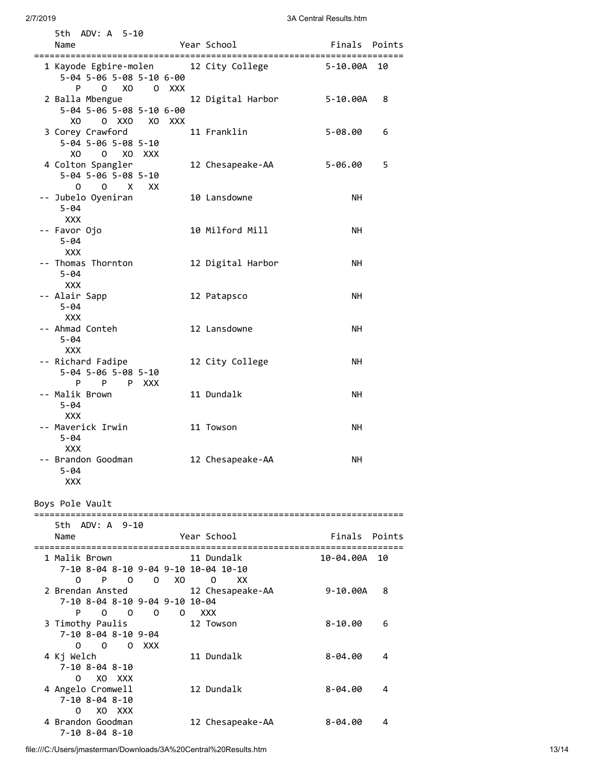|                 | 5th ADV: A 5-10<br>Name                                                        |                     |  | Year School <b>Sear</b> School                    | Finals Points                    |        |
|-----------------|--------------------------------------------------------------------------------|---------------------|--|---------------------------------------------------|----------------------------------|--------|
|                 |                                                                                |                     |  |                                                   |                                  |        |
|                 | 5-04 5-06 5-08 5-10 6-00<br>$0 \times 0$ 0 $XXX$<br>P                          |                     |  | 1 Kayode Egbire-molen 12 City College 5-10.00A 10 |                                  |        |
|                 | 2 Balla Mbengue<br>5-04 5-06 5-08 5-10 6-00<br>0 XXO<br>XO -                   | XO XXX              |  | 12 Digital Harbor                                 | 5-10.00A                         | 8      |
|                 | 3 Corey Crawford<br>5-04 5-06 5-08 5-10<br>XO O XO XXX                         |                     |  | 11 Franklin                                       | $5 - 08.00$                      | 6      |
|                 | 4 Colton Spangler<br>5-04 5-06 5-08 5-10<br>O X XX<br>0                        |                     |  | 12 Chesapeake-AA                                  | $5 - 06.00$                      | 5      |
|                 | -- Jubelo Oyeniran<br>$5 - 04$<br><b>XXX</b>                                   |                     |  | 10 Lansdowne                                      | NH.                              |        |
|                 | -- Favor Ojo<br>$5 - 04$<br><b>XXX</b>                                         |                     |  | 10 Milford Mill                                   | NΗ                               |        |
|                 | -- Thomas Thornton<br>$5 - 04$<br><b>XXX</b>                                   |                     |  | 12 Digital Harbor                                 | NΗ                               |        |
|                 | -- Alair Sapp<br>$5 - 04$<br>XXX                                               |                     |  | 12 Patapsco                                       | NH.                              |        |
|                 | -- Ahmad Conteh<br>$5 - 04$<br>xxx                                             |                     |  | 12 Lansdowne                                      | NН                               |        |
|                 | -- Richard Fadipe<br>5-04 5-06 5-08 5-10<br>P P P XXX                          |                     |  | 12 City College                                   | NΗ                               |        |
|                 | -- Malik Brown<br>$5 - 04$<br><b>XXX</b>                                       |                     |  | 11 Dundalk                                        | NΗ                               |        |
|                 | -- Maverick Irwin<br>5-04<br><b>XXX</b>                                        |                     |  | 11 Towson                                         | NH.                              |        |
|                 | -- Brandon Goodman<br>5-04<br><b>XXX</b>                                       |                     |  | 12 Chesapeake-AA                                  | NΗ                               |        |
| Boys Pole Vault |                                                                                |                     |  |                                                   |                                  |        |
|                 | 5th ADV: A 9-10<br>Name<br>:=================                                  |                     |  | Year School<br>;===============================   | Finals<br>:===================== | Points |
|                 | 1 Malik Brown<br>7-10 8-04 8-10 9-04 9-10 10-04 10-10<br>0<br>P.<br>0          | 0<br>XO.            |  | 11 Dundalk<br>0<br>XX                             | 10-04.00A                        | 10     |
|                 | 2 Brendan Ansted<br>7-10 8-04 8-10 9-04 9-10 10-04<br>$\overline{O}$<br>P<br>0 | 0<br>$\overline{O}$ |  | 12 Chesapeake-AA<br><b>XXX</b>                    | $9 - 10.00A$                     | 8      |
|                 | 3 Timothy Paulis<br>7-10 8-04 8-10 9-04<br>0<br>$\Omega$<br>OXXX               |                     |  | 12 Towson                                         | $8 - 10.00$                      | 6      |
|                 | 4 Kj Welch<br>7-10 8-04 8-10                                                   |                     |  | 11 Dundalk                                        | $8 - 04.00$                      | 4      |
|                 | 4 Angelo Cromwell<br>7-10 8-04 8-10<br>XO XXX<br>0                             |                     |  | 12 Dundalk                                        | $8 - 04.00$                      | 4      |
|                 | 4 Brandon Goodman<br>7-10 8-04 8-10                                            |                     |  | 12 Chesapeake-AA                                  | 8-04.00                          | 4      |